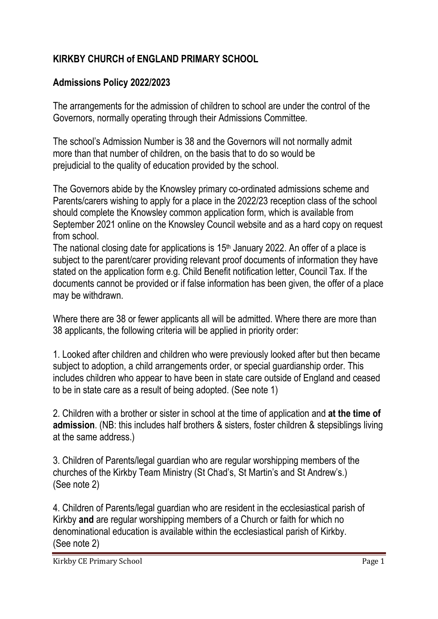## **KIRKBY CHURCH of ENGLAND PRIMARY SCHOOL**

## **Admissions Policy 2022/2023**

The arrangements for the admission of children to school are under the control of the Governors, normally operating through their Admissions Committee.

The school's Admission Number is 38 and the Governors will not normally admit more than that number of children, on the basis that to do so would be prejudicial to the quality of education provided by the school.

The Governors abide by the Knowsley primary co-ordinated admissions scheme and Parents/carers wishing to apply for a place in the 2022/23 reception class of the school should complete the Knowsley common application form, which is available from September 2021 online on the Knowsley Council website and as a hard copy on request from school.

The national closing date for applications is 15<sup>th</sup> January 2022. An offer of a place is subject to the parent/carer providing relevant proof documents of information they have stated on the application form e.g. Child Benefit notification letter, Council Tax. If the documents cannot be provided or if false information has been given, the offer of a place may be withdrawn.

Where there are 38 or fewer applicants all will be admitted. Where there are more than 38 applicants, the following criteria will be applied in priority order:

1. Looked after children and children who were previously looked after but then became subject to adoption, a child arrangements order, or special guardianship order. This includes children who appear to have been in state care outside of England and ceased to be in state care as a result of being adopted. (See note 1)

2. Children with a brother or sister in school at the time of application and **at the time of admission**. (NB: this includes half brothers & sisters, foster children & stepsiblings living at the same address.)

3. Children of Parents/legal guardian who are regular worshipping members of the churches of the Kirkby Team Ministry (St Chad's, St Martin's and St Andrew's.) (See note 2)

4. Children of Parents/legal guardian who are resident in the ecclesiastical parish of Kirkby **and** are regular worshipping members of a Church or faith for which no denominational education is available within the ecclesiastical parish of Kirkby. (See note 2)